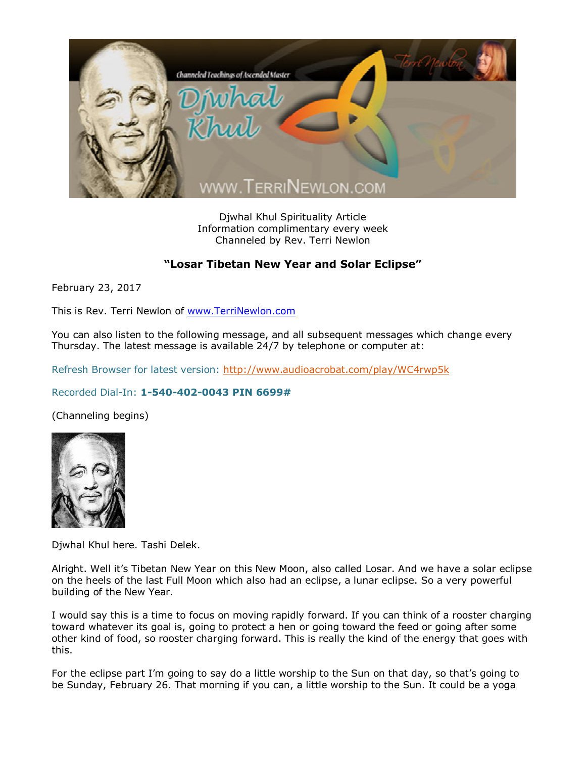

Djwhal Khul Spirituality Article Information complimentary every week Channeled by Rev. Terri Newlon

## **"Losar Tibetan New Year and Solar Eclipse"**

February 23, 2017

This is Rev. Terri Newlon of [www.TerriNewlon.com](http://www.terrinewlon.com/)

You can also listen to the following message, and all subsequent messages which change every Thursday. The latest message is available 24/7 by telephone or computer at:

Refresh Browser for latest version: <http://www.audioacrobat.com/play/WC4rwp5k>

## Recorded Dial-In: **1-540-402-0043 PIN 6699#**

(Channeling begins)



Djwhal Khul here. Tashi Delek.

Alright. Well it's Tibetan New Year on this New Moon, also called Losar. And we have a solar eclipse on the heels of the last Full Moon which also had an eclipse, a lunar eclipse. So a very powerful building of the New Year.

I would say this is a time to focus on moving rapidly forward. If you can think of a rooster charging toward whatever its goal is, going to protect a hen or going toward the feed or going after some other kind of food, so rooster charging forward. This is really the kind of the energy that goes with this.

For the eclipse part I'm going to say do a little worship to the Sun on that day, so that's going to be Sunday, February 26. That morning if you can, a little worship to the Sun. It could be a yoga